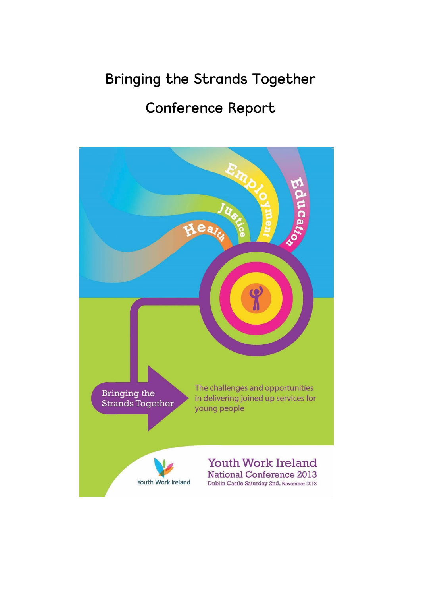# Bringing the Strands Together

# Conference Report

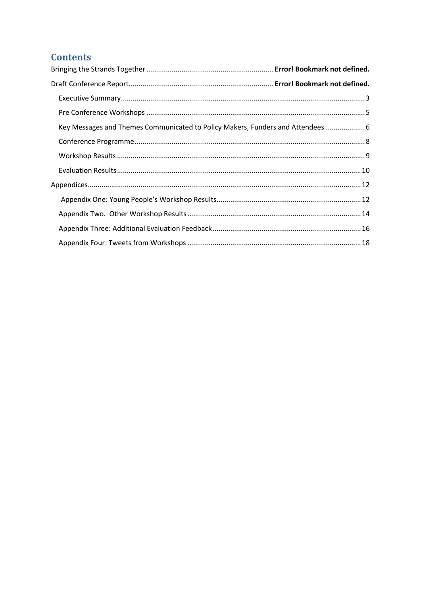# **Contents**

| Key Messages and Themes Communicated to Policy Makers, Funders and Attendees  6 |  |  |
|---------------------------------------------------------------------------------|--|--|
|                                                                                 |  |  |
|                                                                                 |  |  |
|                                                                                 |  |  |
|                                                                                 |  |  |
|                                                                                 |  |  |
|                                                                                 |  |  |
|                                                                                 |  |  |
|                                                                                 |  |  |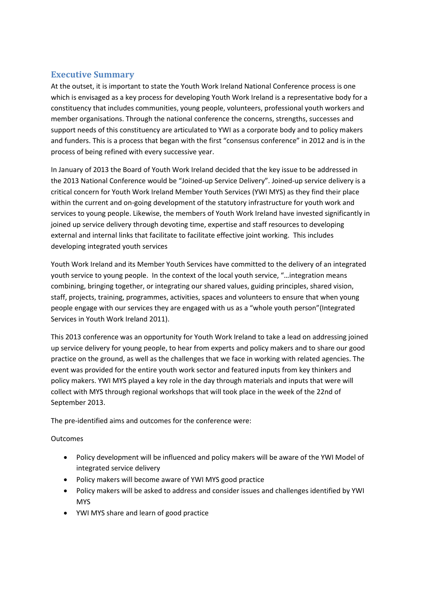# <span id="page-2-0"></span>**Executive Summary**

At the outset, it is important to state the Youth Work Ireland National Conference process is one which is envisaged as a key process for developing Youth Work Ireland is a representative body for a constituency that includes communities, young people, volunteers, professional youth workers and member organisations. Through the national conference the concerns, strengths, successes and support needs of this constituency are articulated to YWI as a corporate body and to policy makers and funders. This is a process that began with the first "consensus conference" in 2012 and is in the process of being refined with every successive year.

In January of 2013 the Board of Youth Work Ireland decided that the key issue to be addressed in the 2013 National Conference would be "Joined-up Service Delivery". Joined-up service delivery is a critical concern for Youth Work Ireland Member Youth Services (YWI MYS) as they find their place within the current and on-going development of the statutory infrastructure for youth work and services to young people. Likewise, the members of Youth Work Ireland have invested significantly in joined up service delivery through devoting time, expertise and staff resources to developing external and internal links that facilitate to facilitate effective joint working. This includes developing integrated youth services

Youth Work Ireland and its Member Youth Services have committed to the delivery of an integrated youth service to young people. In the context of the local youth service, "…integration means combining, bringing together, or integrating our shared values, guiding principles, shared vision, staff, projects, training, programmes, activities, spaces and volunteers to ensure that when young people engage with our services they are engaged with us as a "whole youth person"(Integrated Services in Youth Work Ireland 2011).

This 2013 conference was an opportunity for Youth Work Ireland to take a lead on addressing joined up service delivery for young people, to hear from experts and policy makers and to share our good practice on the ground, as well as the challenges that we face in working with related agencies. The event was provided for the entire youth work sector and featured inputs from key thinkers and policy makers. YWI MYS played a key role in the day through materials and inputs that were will collect with MYS through regional workshops that will took place in the week of the 22nd of September 2013.

The pre-identified aims and outcomes for the conference were:

## **Outcomes**

- Policy development will be influenced and policy makers will be aware of the YWI Model of integrated service delivery
- Policy makers will become aware of YWI MYS good practice
- Policy makers will be asked to address and consider issues and challenges identified by YWI MYS
- YWI MYS share and learn of good practice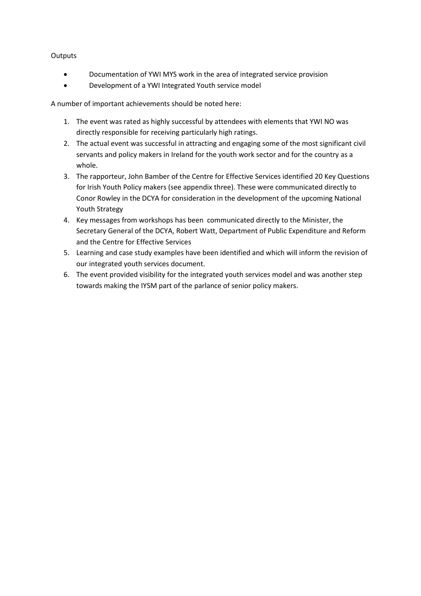## **Outputs**

- Documentation of YWI MYS work in the area of integrated service provision
- Development of a YWI Integrated Youth service model

A number of important achievements should be noted here:

- 1. The event was rated as highly successful by attendees with elements that YWI NO was directly responsible for receiving particularly high ratings.
- 2. The actual event was successful in attracting and engaging some of the most significant civil servants and policy makers in Ireland for the youth work sector and for the country as a whole.
- 3. The rapporteur, John Bamber of the Centre for Effective Services identified 20 Key Questions for Irish Youth Policy makers (see appendix three). These were communicated directly to Conor Rowley in the DCYA for consideration in the development of the upcoming National Youth Strategy
- 4. Key messages from workshops has been communicated directly to the Minister, the Secretary General of the DCYA, Robert Watt, Department of Public Expenditure and Reform and the Centre for Effective Services
- 5. Learning and case study examples have been identified and which will inform the revision of our integrated youth services document.
- 6. The event provided visibility for the integrated youth services model and was another step towards making the IYSM part of the parlance of senior policy makers.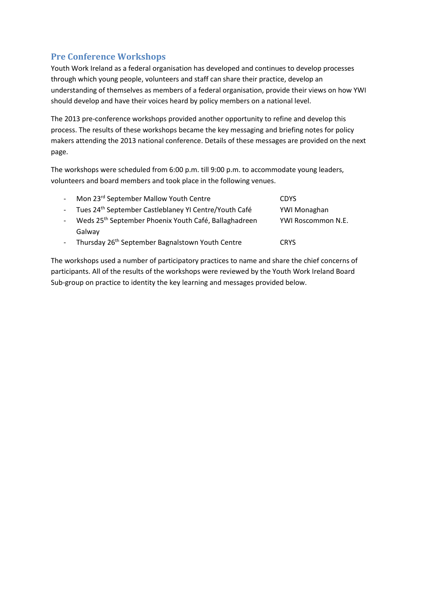# <span id="page-4-0"></span>**Pre Conference Workshops**

Youth Work Ireland as a federal organisation has developed and continues to develop processes through which young people, volunteers and staff can share their practice, develop an understanding of themselves as members of a federal organisation, provide their views on how YWI should develop and have their voices heard by policy members on a national level.

The 2013 pre-conference workshops provided another opportunity to refine and develop this process. The results of these workshops became the key messaging and briefing notes for policy makers attending the 2013 national conference. Details of these messages are provided on the next page.

The workshops were scheduled from 6:00 p.m. till 9:00 p.m. to accommodate young leaders, volunteers and board members and took place in the following venues.

| $\omega_{\rm{max}}$ | Mon 23 <sup>rd</sup> September Mallow Youth Centre                | <b>CDYS</b>        |
|---------------------|-------------------------------------------------------------------|--------------------|
| $\sim 100$          | Tues 24 <sup>th</sup> September Castleblaney YI Centre/Youth Café | YWI Monaghan       |
|                     | Weds 25 <sup>th</sup> September Phoenix Youth Café, Ballaghadreen | YWI Roscommon N.E. |
|                     | Galway                                                            |                    |
|                     | Thursday 26 <sup>th</sup> September Bagnalstown Youth Centre      | <b>CRYS</b>        |

The workshops used a number of participatory practices to name and share the chief concerns of participants. All of the results of the workshops were reviewed by the Youth Work Ireland Board Sub-group on practice to identity the key learning and messages provided below.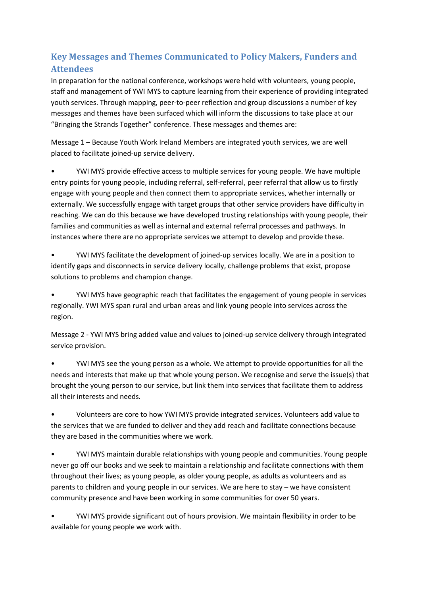# <span id="page-5-0"></span>**Key Messages and Themes Communicated to Policy Makers, Funders and Attendees**

In preparation for the national conference, workshops were held with volunteers, young people, staff and management of YWI MYS to capture learning from their experience of providing integrated youth services. Through mapping, peer-to-peer reflection and group discussions a number of key messages and themes have been surfaced which will inform the discussions to take place at our "Bringing the Strands Together" conference. These messages and themes are:

Message 1 – Because Youth Work Ireland Members are integrated youth services, we are well placed to facilitate joined-up service delivery.

• YWI MYS provide effective access to multiple services for young people. We have multiple entry points for young people, including referral, self-referral, peer referral that allow us to firstly engage with young people and then connect them to appropriate services, whether internally or externally. We successfully engage with target groups that other service providers have difficulty in reaching. We can do this because we have developed trusting relationships with young people, their families and communities as well as internal and external referral processes and pathways. In instances where there are no appropriate services we attempt to develop and provide these.

• YWI MYS facilitate the development of joined-up services locally. We are in a position to identify gaps and disconnects in service delivery locally, challenge problems that exist, propose solutions to problems and champion change.

• YWI MYS have geographic reach that facilitates the engagement of young people in services regionally. YWI MYS span rural and urban areas and link young people into services across the region.

Message 2 - YWI MYS bring added value and values to joined-up service delivery through integrated service provision.

• YWI MYS see the young person as a whole. We attempt to provide opportunities for all the needs and interests that make up that whole young person. We recognise and serve the issue(s) that brought the young person to our service, but link them into services that facilitate them to address all their interests and needs.

• Volunteers are core to how YWI MYS provide integrated services. Volunteers add value to the services that we are funded to deliver and they add reach and facilitate connections because they are based in the communities where we work.

• YWI MYS maintain durable relationships with young people and communities. Young people never go off our books and we seek to maintain a relationship and facilitate connections with them throughout their lives; as young people, as older young people, as adults as volunteers and as parents to children and young people in our services. We are here to stay – we have consistent community presence and have been working in some communities for over 50 years.

• YWI MYS provide significant out of hours provision. We maintain flexibility in order to be available for young people we work with.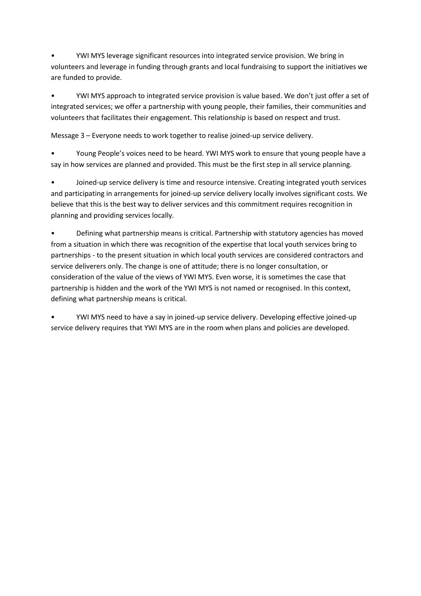• YWI MYS leverage significant resources into integrated service provision. We bring in volunteers and leverage in funding through grants and local fundraising to support the initiatives we are funded to provide.

• YWI MYS approach to integrated service provision is value based. We don't just offer a set of integrated services; we offer a partnership with young people, their families, their communities and volunteers that facilitates their engagement. This relationship is based on respect and trust.

Message 3 – Everyone needs to work together to realise joined-up service delivery.

• Young People's voices need to be heard. YWI MYS work to ensure that young people have a say in how services are planned and provided. This must be the first step in all service planning.

• Joined-up service delivery is time and resource intensive. Creating integrated youth services and participating in arrangements for joined-up service delivery locally involves significant costs. We believe that this is the best way to deliver services and this commitment requires recognition in planning and providing services locally.

• Defining what partnership means is critical. Partnership with statutory agencies has moved from a situation in which there was recognition of the expertise that local youth services bring to partnerships - to the present situation in which local youth services are considered contractors and service deliverers only. The change is one of attitude; there is no longer consultation, or consideration of the value of the views of YWI MYS. Even worse, it is sometimes the case that partnership is hidden and the work of the YWI MYS is not named or recognised. In this context, defining what partnership means is critical.

• YWI MYS need to have a say in joined-up service delivery. Developing effective joined-up service delivery requires that YWI MYS are in the room when plans and policies are developed.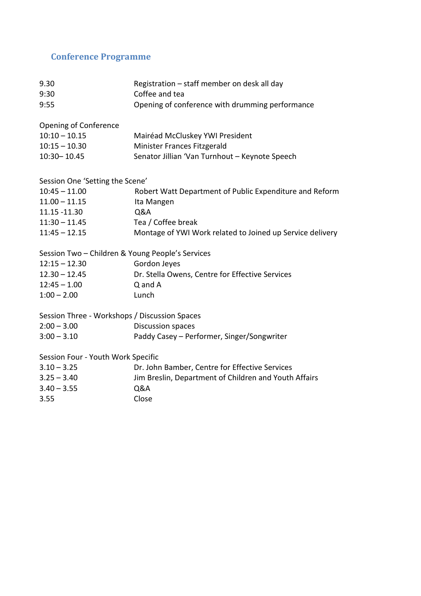# <span id="page-7-0"></span>**Conference Programme**

| 9.30<br>9:30                                     | Registration - staff member on desk all day<br>Coffee and tea |
|--------------------------------------------------|---------------------------------------------------------------|
| 9:55                                             | Opening of conference with drumming performance               |
| Opening of Conference                            |                                                               |
| $10:10 - 10.15$                                  | Mairéad McCluskey YWI President                               |
| $10:15 - 10.30$                                  | Minister Frances Fitzgerald                                   |
| 10:30-10.45                                      | Senator Jillian 'Van Turnhout - Keynote Speech                |
| Session One 'Setting the Scene'                  |                                                               |
| $10:45 - 11.00$                                  | Robert Watt Department of Public Expenditure and Reform       |
| $11.00 - 11.15$                                  | Ita Mangen                                                    |
| 11.15 - 11.30                                    | Q&A                                                           |
| $11:30 - 11.45$                                  | Tea / Coffee break                                            |
| $11:45 - 12.15$                                  | Montage of YWI Work related to Joined up Service delivery     |
| Session Two - Children & Young People's Services |                                                               |
| $12:15 - 12.30$                                  | Gordon Jeyes                                                  |
| $12.30 - 12.45$                                  | Dr. Stella Owens, Centre for Effective Services               |
| $12:45 - 1.00$                                   | Q and A                                                       |
| $1:00 - 2.00$                                    | Lunch                                                         |
| Session Three - Workshops / Discussion Spaces    |                                                               |
| $2:00 - 3.00$                                    | <b>Discussion spaces</b>                                      |
| $3:00 - 3.10$                                    | Paddy Casey - Performer, Singer/Songwriter                    |
| Session Four - Youth Work Specific               |                                                               |
| $3.10 - 3.25$                                    | Dr. John Bamber, Centre for Effective Services                |
| $3.25 - 3.40$                                    | Jim Breslin, Department of Children and Youth Affairs         |
| $3.40 - 3.55$                                    | Q&A                                                           |
| 3.55                                             | Close                                                         |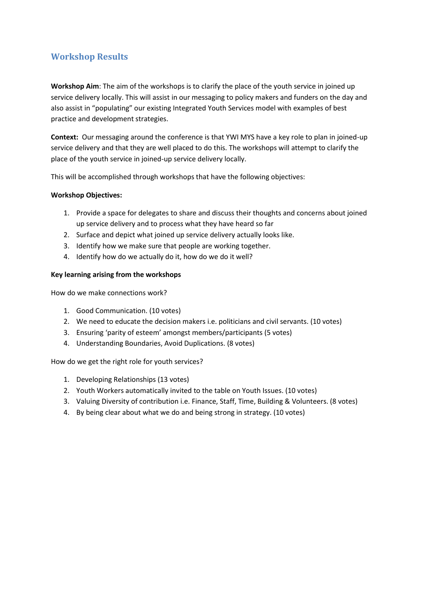# <span id="page-8-0"></span>**Workshop Results**

**Workshop Aim**: The aim of the workshops is to clarify the place of the youth service in joined up service delivery locally. This will assist in our messaging to policy makers and funders on the day and also assist in "populating" our existing Integrated Youth Services model with examples of best practice and development strategies.

**Context:** Our messaging around the conference is that YWI MYS have a key role to plan in joined-up service delivery and that they are well placed to do this. The workshops will attempt to clarify the place of the youth service in joined-up service delivery locally.

This will be accomplished through workshops that have the following objectives:

## **Workshop Objectives:**

- 1. Provide a space for delegates to share and discuss their thoughts and concerns about joined up service delivery and to process what they have heard so far
- 2. Surface and depict what joined up service delivery actually looks like.
- 3. Identify how we make sure that people are working together.
- 4. Identify how do we actually do it, how do we do it well?

## **Key learning arising from the workshops**

How do we make connections work?

- 1. Good Communication. (10 votes)
- 2. We need to educate the decision makers i.e. politicians and civil servants. (10 votes)
- 3. Ensuring 'parity of esteem' amongst members/participants (5 votes)
- 4. Understanding Boundaries, Avoid Duplications. (8 votes)

How do we get the right role for youth services?

- 1. Developing Relationships (13 votes)
- 2. Youth Workers automatically invited to the table on Youth Issues. (10 votes)
- 3. Valuing Diversity of contribution i.e. Finance, Staff, Time, Building & Volunteers. (8 votes)
- 4. By being clear about what we do and being strong in strategy. (10 votes)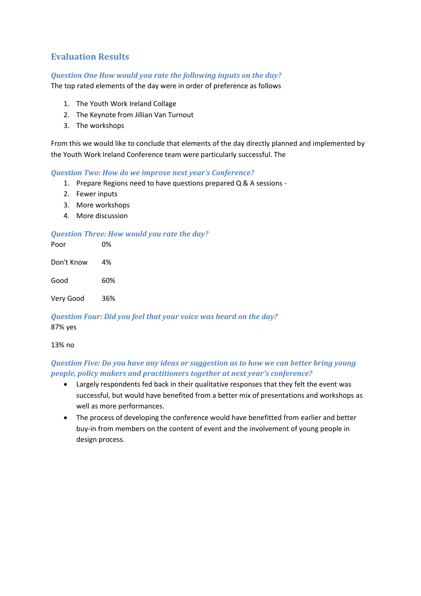# <span id="page-9-0"></span>**Evaluation Results**

## *Question One How would you rate the following inputs on the day?*

The top rated elements of the day were in order of preference as follows

- 1. The Youth Work Ireland Collage
- 2. The Keynote from Jillian Van Turnout
- 3. The workshops

From this we would like to conclude that elements of the day directly planned and implemented by the Youth Work Ireland Conference team were particularly successful. The

### *Question Two: How do we improve next year's Conference?*

- 1. Prepare Regions need to have questions prepared Q & A sessions -
- 2. Fewer inputs
- 3. More workshops
- 4. More discussion

### *Question Three: How would you rate the day?*

| Poor       | 0%  |
|------------|-----|
| Don't Know | 4%  |
| Good       | 60% |
| Very Good  | 36% |

*Question Four: Did you feel that your voice was heard on the day?* 87% yes

#### 13% no

# *Question Five: Do you have any ideas or suggestion as to how we can better bring young people, policy makers and practitioners together at next year's conference?*

- Largely respondents fed back in their qualitative responses that they felt the event was successful, but would have benefited from a better mix of presentations and workshops as well as more performances.
- The process of developing the conference would have benefitted from earlier and better buy-in from members on the content of event and the involvement of young people in design process.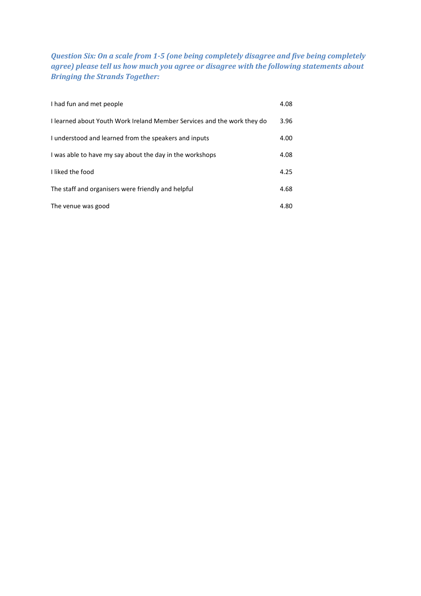*Question Six: On a scale from 1-5 (one being completely disagree and five being completely agree) please tell us how much you agree or disagree with the following statements about Bringing the Strands Together:*

| I had fun and met people                                                | 4.08 |
|-------------------------------------------------------------------------|------|
| I learned about Youth Work Ireland Member Services and the work they do | 3.96 |
| I understood and learned from the speakers and inputs                   | 4.00 |
| I was able to have my say about the day in the workshops                | 4.08 |
| I liked the food                                                        | 4.25 |
| The staff and organisers were friendly and helpful                      | 4.68 |
| The venue was good                                                      | 4.80 |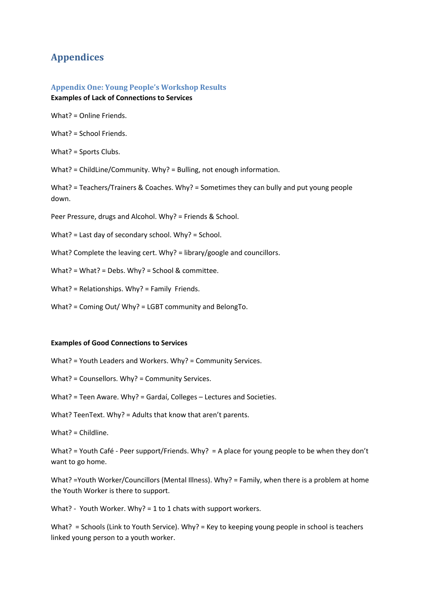# <span id="page-11-0"></span>**Appendices**

## <span id="page-11-1"></span>**Appendix One: Young People's Workshop Results Examples of Lack of Connections to Services**

What? = Online Friends.

What? = School Friends.

What? = Sports Clubs.

What? = ChildLine/Community. Why? = Bulling, not enough information.

What? = Teachers/Trainers & Coaches. Why? = Sometimes they can bully and put young people down.

Peer Pressure, drugs and Alcohol. Why? = Friends & School.

What? = Last day of secondary school. Why? = School.

What? Complete the leaving cert. Why? = library/google and councillors.

What? = What? = Debs. Why? = School & committee.

What? = Relationships. Why? = Family Friends.

What? = Coming Out/ Why? = LGBT community and BelongTo.

#### **Examples of Good Connections to Services**

What? = Youth Leaders and Workers. Why? = Community Services.

What? = Counsellors. Why? = Community Services.

What? = Teen Aware. Why? = Gardaí, Colleges – Lectures and Societies.

What? TeenText. Why? = Adults that know that aren't parents.

What? = Childline.

What? = Youth Café - Peer support/Friends. Why? = A place for young people to be when they don't want to go home.

What? =Youth Worker/Councillors (Mental Illness). Why? = Family, when there is a problem at home the Youth Worker is there to support.

What? - Youth Worker. Why? = 1 to 1 chats with support workers.

What? = Schools (Link to Youth Service). Why? = Key to keeping young people in school is teachers linked young person to a youth worker.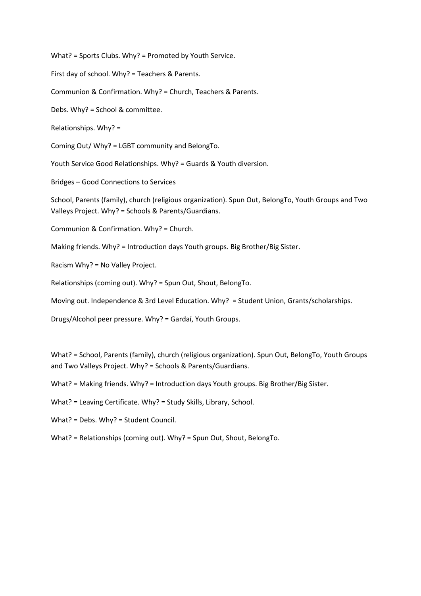What? = Sports Clubs. Why? = Promoted by Youth Service.

First day of school. Why? = Teachers & Parents.

Communion & Confirmation. Why? = Church, Teachers & Parents.

Debs. Why? = School & committee.

Relationships. Why? =

Coming Out/ Why? = LGBT community and BelongTo.

Youth Service Good Relationships. Why? = Guards & Youth diversion.

Bridges – Good Connections to Services

School, Parents (family), church (religious organization). Spun Out, BelongTo, Youth Groups and Two Valleys Project. Why? = Schools & Parents/Guardians.

Communion & Confirmation. Why? = Church.

Making friends. Why? = Introduction days Youth groups. Big Brother/Big Sister.

Racism Why? = No Valley Project.

Relationships (coming out). Why? = Spun Out, Shout, BelongTo.

Moving out. Independence & 3rd Level Education. Why? = Student Union, Grants/scholarships.

Drugs/Alcohol peer pressure. Why? = Gardaí, Youth Groups.

What? = School, Parents (family), church (religious organization). Spun Out, BelongTo, Youth Groups and Two Valleys Project. Why? = Schools & Parents/Guardians.

What? = Making friends. Why? = Introduction days Youth groups. Big Brother/Big Sister.

What? = Leaving Certificate. Why? = Study Skills, Library, School.

What? = Debs. Why? = Student Council.

What? = Relationships (coming out). Why? = Spun Out, Shout, BelongTo.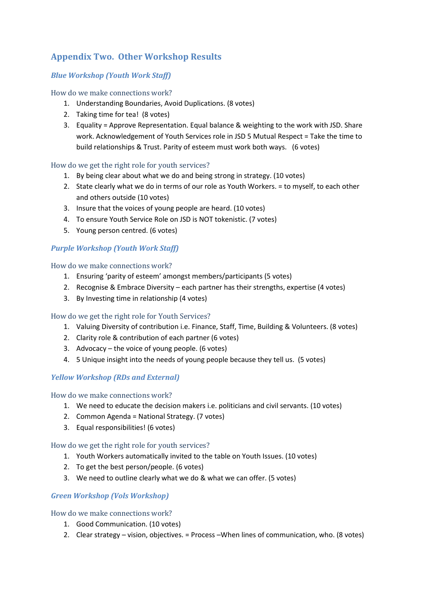# <span id="page-13-0"></span>**Appendix Two. Other Workshop Results**

# *Blue Workshop (Youth Work Staff)*

How do we make connections work?

- 1. Understanding Boundaries, Avoid Duplications. (8 votes)
- 2. Taking time for tea! (8 votes)
- 3. Equality = Approve Representation. Equal balance & weighting to the work with JSD. Share work. Acknowledgement of Youth Services role in JSD 5 Mutual Respect = Take the time to build relationships & Trust. Parity of esteem must work both ways. (6 votes)

## How do we get the right role for youth services?

- 1. By being clear about what we do and being strong in strategy. (10 votes)
- 2. State clearly what we do in terms of our role as Youth Workers. = to myself, to each other and others outside (10 votes)
- 3. Insure that the voices of young people are heard. (10 votes)
- 4. To ensure Youth Service Role on JSD is NOT tokenistic. (7 votes)
- 5. Young person centred. (6 votes)

## *Purple Workshop (Youth Work Staff)*

How do we make connections work?

- 1. Ensuring 'parity of esteem' amongst members/participants (5 votes)
- 2. Recognise & Embrace Diversity each partner has their strengths, expertise (4 votes)
- 3. By Investing time in relationship (4 votes)

## How do we get the right role for Youth Services?

- 1. Valuing Diversity of contribution i.e. Finance, Staff, Time, Building & Volunteers. (8 votes)
- 2. Clarity role & contribution of each partner (6 votes)
- 3. Advocacy the voice of young people. (6 votes)
- 4. 5 Unique insight into the needs of young people because they tell us. (5 votes)

## *Yellow Workshop (RDs and External)*

How do we make connections work?

- 1. We need to educate the decision makers i.e. politicians and civil servants. (10 votes)
- 2. Common Agenda = National Strategy. (7 votes)
- 3. Equal responsibilities! (6 votes)

How do we get the right role for youth services?

- 1. Youth Workers automatically invited to the table on Youth Issues. (10 votes)
- 2. To get the best person/people. (6 votes)
- 3. We need to outline clearly what we do & what we can offer. (5 votes)

## *Green Workshop (Vols Workshop)*

#### How do we make connections work?

- 1. Good Communication. (10 votes)
- 2. Clear strategy vision, objectives. = Process –When lines of communication, who. (8 votes)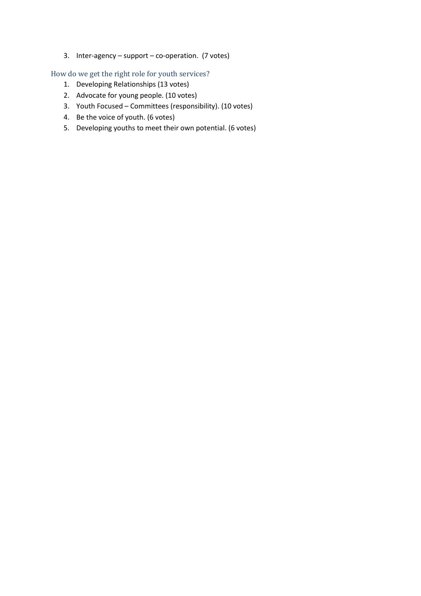3. Inter-agency – support – co-operation. (7 votes)

How do we get the right role for youth services?

- 1. Developing Relationships (13 votes)
- 2. Advocate for young people. (10 votes)
- 3. Youth Focused Committees (responsibility). (10 votes)
- 4. Be the voice of youth. (6 votes)
- 5. Developing youths to meet their own potential. (6 votes)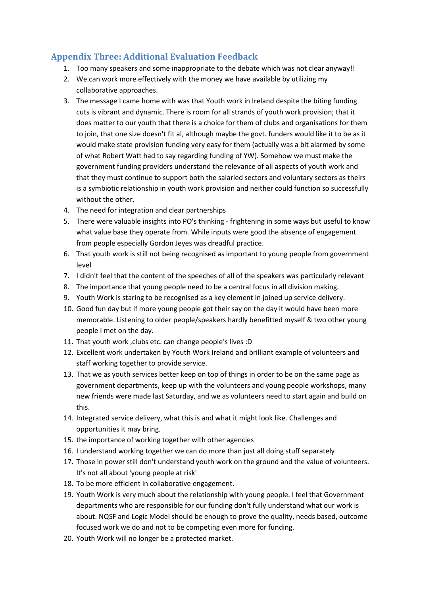# <span id="page-15-0"></span>**Appendix Three: Additional Evaluation Feedback**

- 1. Too many speakers and some inappropriate to the debate which was not clear anyway!!
- 2. We can work more effectively with the money we have available by utilizing my collaborative approaches.
- 3. The message I came home with was that Youth work in Ireland despite the biting funding cuts is vibrant and dynamic. There is room for all strands of youth work provision; that it does matter to our youth that there is a choice for them of clubs and organisations for them to join, that one size doesn't fit al, although maybe the govt. funders would like it to be as it would make state provision funding very easy for them (actually was a bit alarmed by some of what Robert Watt had to say regarding funding of YW). Somehow we must make the government funding providers understand the relevance of all aspects of youth work and that they must continue to support both the salaried sectors and voluntary sectors as theirs is a symbiotic relationship in youth work provision and neither could function so successfully without the other.
- 4. The need for integration and clear partnerships
- 5. There were valuable insights into PO's thinking frightening in some ways but useful to know what value base they operate from. While inputs were good the absence of engagement from people especially Gordon Jeyes was dreadful practice.
- 6. That youth work is still not being recognised as important to young people from government level
- 7. I didn't feel that the content of the speeches of all of the speakers was particularly relevant
- 8. The importance that young people need to be a central focus in all division making.
- 9. Youth Work is staring to be recognised as a key element in joined up service delivery.
- 10. Good fun day but if more young people got their say on the day it would have been more memorable. Listening to older people/speakers hardly benefitted myself & two other young people I met on the day.
- 11. That youth work ,clubs etc. can change people's lives :D
- 12. Excellent work undertaken by Youth Work Ireland and brilliant example of volunteers and staff working together to provide service.
- 13. That we as youth services better keep on top of things in order to be on the same page as government departments, keep up with the volunteers and young people workshops, many new friends were made last Saturday, and we as volunteers need to start again and build on this.
- 14. Integrated service delivery, what this is and what it might look like. Challenges and opportunities it may bring.
- 15. the importance of working together with other agencies
- 16. I understand working together we can do more than just all doing stuff separately
- 17. Those in power still don't understand youth work on the ground and the value of volunteers. It's not all about 'young people at risk'
- 18. To be more efficient in collaborative engagement.
- 19. Youth Work is very much about the relationship with young people. I feel that Government departments who are responsible for our funding don't fully understand what our work is about. NQSF and Logic Model should be enough to prove the quality, needs based, outcome focused work we do and not to be competing even more for funding.
- 20. Youth Work will no longer be a protected market.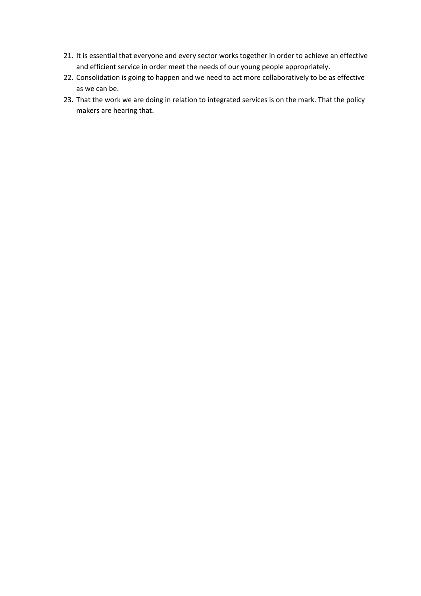- 21. It is essential that everyone and every sector works together in order to achieve an effective and efficient service in order meet the needs of our young people appropriately.
- 22. Consolidation is going to happen and we need to act more collaboratively to be as effective as we can be.
- 23. That the work we are doing in relation to integrated services is on the mark. That the policy makers are hearing that.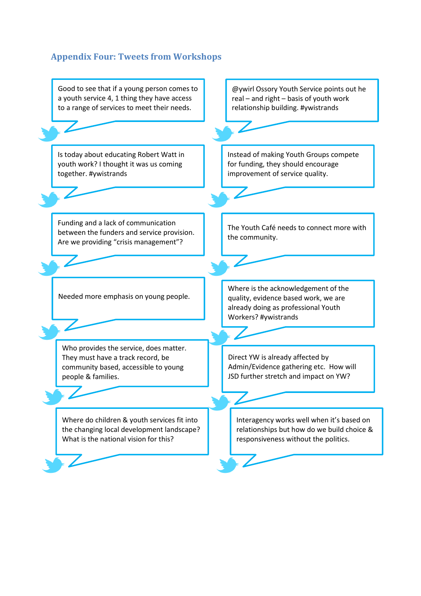# <span id="page-17-0"></span>**Appendix Four: Tweets from Workshops**

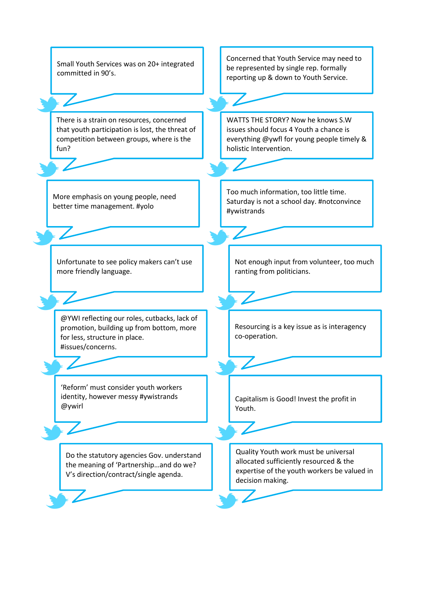